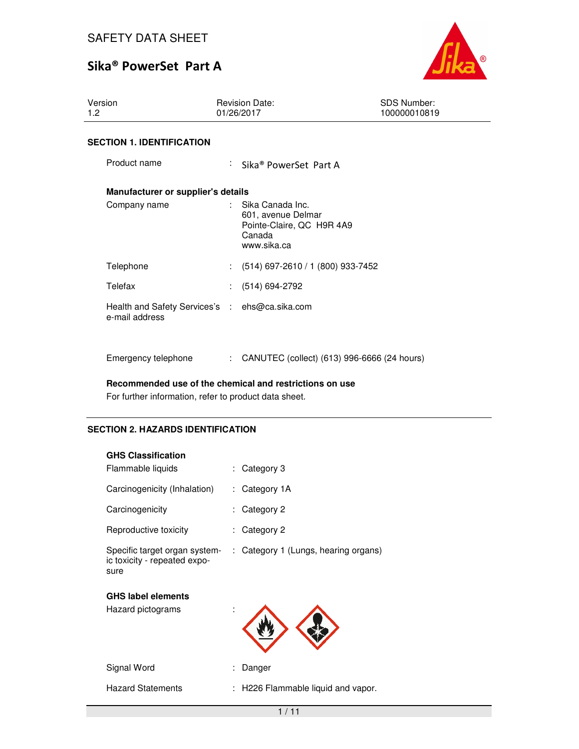

| Version<br>1.2                                                   | <b>Revision Date:</b><br>01/26/2017                                                                                         | <b>SDS Number:</b><br>100000010819 |
|------------------------------------------------------------------|-----------------------------------------------------------------------------------------------------------------------------|------------------------------------|
| <b>SECTION 1. IDENTIFICATION</b>                                 |                                                                                                                             |                                    |
| Product name                                                     | : Sika® PowerSet Part A                                                                                                     |                                    |
| Manufacturer or supplier's details                               |                                                                                                                             |                                    |
| Company name                                                     | Sika Canada Inc.<br>$\mathcal{L}^{\mathcal{L}}$<br>601, avenue Delmar<br>Pointe-Claire, QC H9R 4A9<br>Canada<br>www.sika.ca |                                    |
| Telephone                                                        | $(514)$ 697-2610 / 1 (800) 933-7452                                                                                         |                                    |
| Telefax                                                          | (514) 694-2792                                                                                                              |                                    |
| Health and Safety Services's : ehs@ca.sika.com<br>e-mail address |                                                                                                                             |                                    |
| Emergency telephone                                              | CANUTEC (collect) (613) 996-6666 (24 hours)<br>÷                                                                            |                                    |

**Recommended use of the chemical and restrictions on use** 

For further information, refer to product data sheet.

## **SECTION 2. HAZARDS IDENTIFICATION**

| <b>GHS Classification</b>                                             |   |                                      |
|-----------------------------------------------------------------------|---|--------------------------------------|
| Flammable liquids                                                     |   | Category 3                           |
| Carcinogenicity (Inhalation)                                          | ÷ | Category 1A                          |
| Carcinogenicity                                                       |   | Category 2                           |
| Reproductive toxicity                                                 |   | Category 2                           |
| Specific target organ system-<br>ic toxicity - repeated expo-<br>sure |   | : Category 1 (Lungs, hearing organs) |
| <b>GHS label elements</b>                                             |   |                                      |
| Hazard pictograms                                                     |   |                                      |
| Signal Word                                                           |   | Danger                               |
| <b>Hazard Statements</b>                                              |   | H226 Flammable liquid and vapor.     |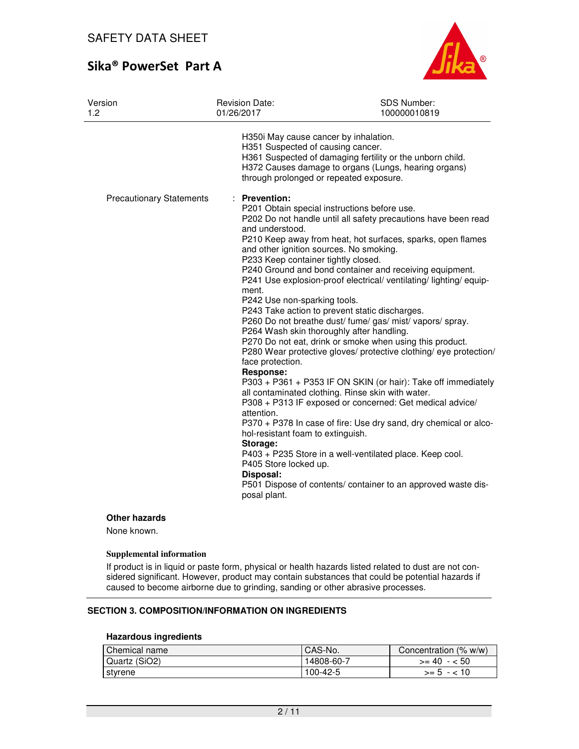

| Version<br>1.2                  | Revision Date:<br>01/26/2017                                                                                                                                                                                                                                                                     | SDS Number:<br>100000010819                                                                                                                                                                                                                                                                                                                                                                                                                                                                                                                                                                                                                                                                                                                                                                                                                                                                                                                                                                    |
|---------------------------------|--------------------------------------------------------------------------------------------------------------------------------------------------------------------------------------------------------------------------------------------------------------------------------------------------|------------------------------------------------------------------------------------------------------------------------------------------------------------------------------------------------------------------------------------------------------------------------------------------------------------------------------------------------------------------------------------------------------------------------------------------------------------------------------------------------------------------------------------------------------------------------------------------------------------------------------------------------------------------------------------------------------------------------------------------------------------------------------------------------------------------------------------------------------------------------------------------------------------------------------------------------------------------------------------------------|
| <b>Precautionary Statements</b> | H350 May cause cancer by inhalation.<br>H351 Suspected of causing cancer.<br><b>Prevention:</b>                                                                                                                                                                                                  | H361 Suspected of damaging fertility or the unborn child.<br>H372 Causes damage to organs (Lungs, hearing organs)<br>through prolonged or repeated exposure.                                                                                                                                                                                                                                                                                                                                                                                                                                                                                                                                                                                                                                                                                                                                                                                                                                   |
|                                 | and understood.<br>and other ignition sources. No smoking.<br>P233 Keep container tightly closed.<br>ment.<br>P242 Use non-sparking tools.<br>face protection.<br>Response:<br>attention.<br>hol-resistant foam to extinguish.<br>Storage:<br>P405 Store locked up.<br>Disposal:<br>posal plant. | P201 Obtain special instructions before use.<br>P202 Do not handle until all safety precautions have been read<br>P210 Keep away from heat, hot surfaces, sparks, open flames<br>P240 Ground and bond container and receiving equipment.<br>P241 Use explosion-proof electrical/ ventilating/ lighting/ equip-<br>P243 Take action to prevent static discharges.<br>P260 Do not breathe dust/ fume/ gas/ mist/ vapors/ spray.<br>P264 Wash skin thoroughly after handling.<br>P270 Do not eat, drink or smoke when using this product.<br>P280 Wear protective gloves/ protective clothing/ eye protection/<br>P303 + P361 + P353 IF ON SKIN (or hair): Take off immediately<br>all contaminated clothing. Rinse skin with water.<br>P308 + P313 IF exposed or concerned: Get medical advice/<br>P370 + P378 In case of fire: Use dry sand, dry chemical or alco-<br>P403 + P235 Store in a well-ventilated place. Keep cool.<br>P501 Dispose of contents/ container to an approved waste dis- |

### **Other hazards**

None known.

#### **Supplemental information**

If product is in liquid or paste form, physical or health hazards listed related to dust are not considered significant. However, product may contain substances that could be potential hazards if caused to become airborne due to grinding, sanding or other abrasive processes.

### **SECTION 3. COMPOSITION/INFORMATION ON INGREDIENTS**

### **Hazardous ingredients**

| Chemical name | CAS-No.    | Concentration (% w/w) |
|---------------|------------|-----------------------|
| Quartz (SiO2) | 14808-60-7 | $>= 40 - 50$          |
| styrene       | 100-42-5   | $>= 5 - 10$           |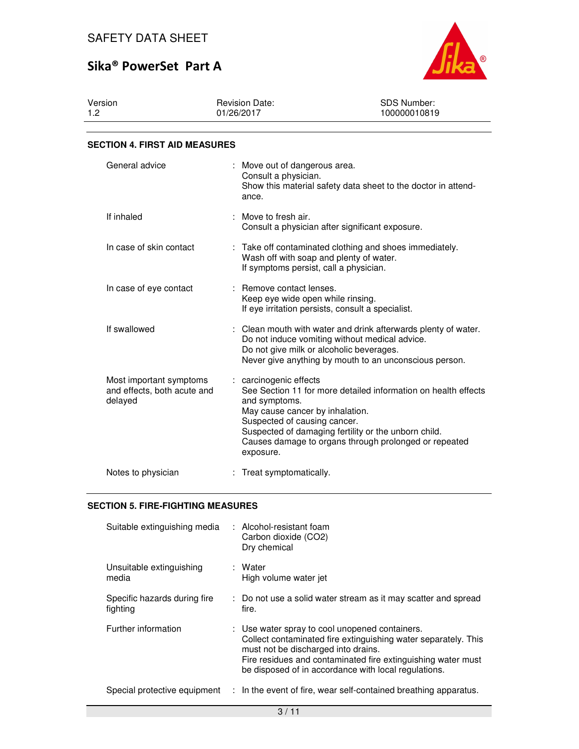

| Version | <b>Revision Date:</b> | SDS Number:  |  |
|---------|-----------------------|--------------|--|
| 1.2     | 01/26/2017            | 100000010819 |  |

### **SECTION 4. FIRST AID MEASURES**

| General advice                                                    | : Move out of dangerous area.<br>Consult a physician.<br>Show this material safety data sheet to the doctor in attend-<br>ance.                                                                                                                                                                            |
|-------------------------------------------------------------------|------------------------------------------------------------------------------------------------------------------------------------------------------------------------------------------------------------------------------------------------------------------------------------------------------------|
| If inhaled                                                        | : Move to fresh air.<br>Consult a physician after significant exposure.                                                                                                                                                                                                                                    |
| In case of skin contact                                           | : Take off contaminated clothing and shoes immediately.<br>Wash off with soap and plenty of water.<br>If symptoms persist, call a physician.                                                                                                                                                               |
| In case of eye contact                                            | : Remove contact lenses.<br>Keep eye wide open while rinsing.<br>If eye irritation persists, consult a specialist.                                                                                                                                                                                         |
| If swallowed                                                      | : Clean mouth with water and drink afterwards plenty of water.<br>Do not induce vomiting without medical advice.<br>Do not give milk or alcoholic beverages.<br>Never give anything by mouth to an unconscious person.                                                                                     |
| Most important symptoms<br>and effects, both acute and<br>delayed | : carcinogenic effects<br>See Section 11 for more detailed information on health effects<br>and symptoms.<br>May cause cancer by inhalation.<br>Suspected of causing cancer.<br>Suspected of damaging fertility or the unborn child.<br>Causes damage to organs through prolonged or repeated<br>exposure. |
| Notes to physician                                                | Treat symptomatically.                                                                                                                                                                                                                                                                                     |

### **SECTION 5. FIRE-FIGHTING MEASURES**

| Suitable extinguishing media             | Alcohol-resistant foam<br>Carbon dioxide (CO2)<br>Dry chemical                                                                                                                                                                                                                  |
|------------------------------------------|---------------------------------------------------------------------------------------------------------------------------------------------------------------------------------------------------------------------------------------------------------------------------------|
| Unsuitable extinguishing<br>media        | : Water<br>High volume water jet                                                                                                                                                                                                                                                |
| Specific hazards during fire<br>fighting | : Do not use a solid water stream as it may scatter and spread<br>fire.                                                                                                                                                                                                         |
| Further information                      | : Use water spray to cool unopened containers.<br>Collect contaminated fire extinguishing water separately. This<br>must not be discharged into drains.<br>Fire residues and contaminated fire extinguishing water must<br>be disposed of in accordance with local regulations. |
| Special protective equipment             | : In the event of fire, wear self-contained breathing apparatus.                                                                                                                                                                                                                |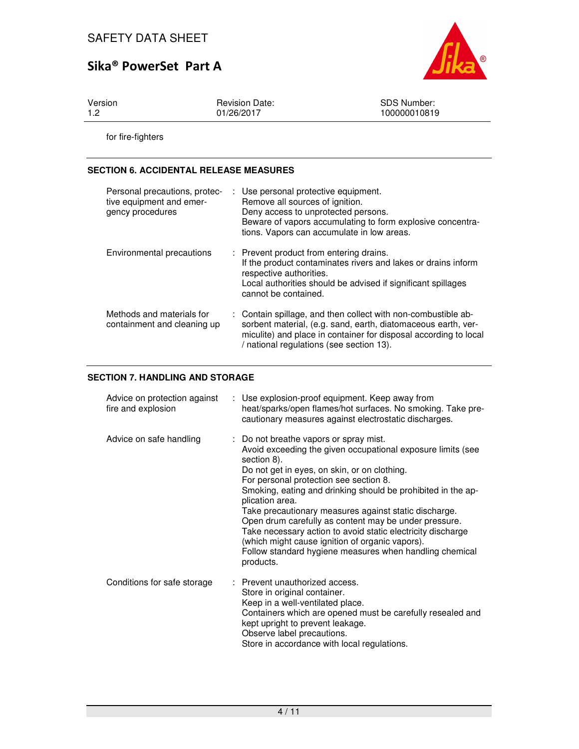

Version 1.2

Revision Date: 01/26/2017

SDS Number: 100000010819

for fire-fighters

### **SECTION 6. ACCIDENTAL RELEASE MEASURES**

| Personal precautions, protec-<br>tive equipment and emer-<br>gency procedures | : Use personal protective equipment.<br>Remove all sources of ignition.<br>Deny access to unprotected persons.<br>Beware of vapors accumulating to form explosive concentra-<br>tions. Vapors can accumulate in low areas.                     |
|-------------------------------------------------------------------------------|------------------------------------------------------------------------------------------------------------------------------------------------------------------------------------------------------------------------------------------------|
| Environmental precautions                                                     | : Prevent product from entering drains.<br>If the product contaminates rivers and lakes or drains inform<br>respective authorities.<br>Local authorities should be advised if significant spillages<br>cannot be contained.                    |
| Methods and materials for<br>containment and cleaning up                      | : Contain spillage, and then collect with non-combustible ab-<br>sorbent material, (e.g. sand, earth, diatomaceous earth, ver-<br>miculite) and place in container for disposal according to local<br>/ national regulations (see section 13). |

### **SECTION 7. HANDLING AND STORAGE**

| Advice on protection against<br>fire and explosion | : Use explosion-proof equipment. Keep away from<br>heat/sparks/open flames/hot surfaces. No smoking. Take pre-<br>cautionary measures against electrostatic discharges.                                                                                                                                                                                                                                                                                                                                                                                                                                       |
|----------------------------------------------------|---------------------------------------------------------------------------------------------------------------------------------------------------------------------------------------------------------------------------------------------------------------------------------------------------------------------------------------------------------------------------------------------------------------------------------------------------------------------------------------------------------------------------------------------------------------------------------------------------------------|
| Advice on safe handling                            | : Do not breathe vapors or spray mist.<br>Avoid exceeding the given occupational exposure limits (see<br>section 8).<br>Do not get in eyes, on skin, or on clothing.<br>For personal protection see section 8.<br>Smoking, eating and drinking should be prohibited in the ap-<br>plication area.<br>Take precautionary measures against static discharge.<br>Open drum carefully as content may be under pressure.<br>Take necessary action to avoid static electricity discharge<br>(which might cause ignition of organic vapors).<br>Follow standard hygiene measures when handling chemical<br>products. |
| Conditions for safe storage                        | Prevent unauthorized access.<br>Store in original container.<br>Keep in a well-ventilated place.<br>Containers which are opened must be carefully resealed and<br>kept upright to prevent leakage.<br>Observe label precautions.<br>Store in accordance with local regulations.                                                                                                                                                                                                                                                                                                                               |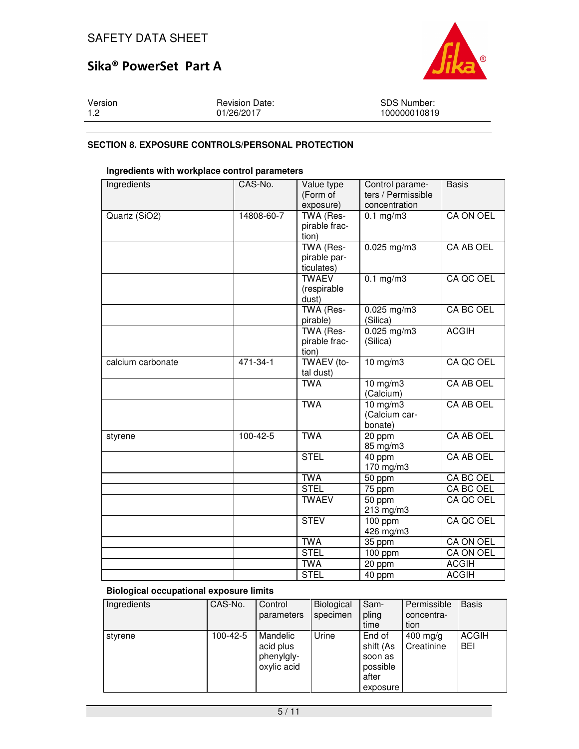

| Version | <b>Revision Date:</b> | <b>SDS Number:</b> |
|---------|-----------------------|--------------------|
| 1.2     | 01/26/2017            | 100000010819       |

### **SECTION 8. EXPOSURE CONTROLS/PERSONAL PROTECTION**

### **Ingredients with workplace control parameters**

| Ingredients       | CAS-No.        | Value type<br>(Form of<br>exposure)     | Control parame-<br>ters / Permissible<br>concentration | <b>Basis</b>     |
|-------------------|----------------|-----------------------------------------|--------------------------------------------------------|------------------|
| Quartz (SiO2)     | 14808-60-7     | TWA (Res-<br>pirable frac-<br>tion)     | $0.1$ mg/m $3$                                         | <b>CA ON OEL</b> |
|                   |                | TWA (Res-<br>pirable par-<br>ticulates) | $0.025$ mg/m3                                          | <b>CA AB OEL</b> |
|                   |                | <b>TWAEV</b><br>(respirable<br>dust)    | $0.1$ mg/m3                                            | CA QC OEL        |
|                   |                | TWA (Res-<br>pirable)                   | $0.025$ mg/m3<br>(Silica)                              | CA BC OEL        |
|                   |                | TWA (Res-<br>pirable frac-<br>tion)     | $0.025$ mg/m3<br>(Silica)                              | <b>ACGIH</b>     |
| calcium carbonate | 471-34-1       | TWAEV (to-<br>tal dust)                 | $10$ mg/m $3$                                          | CA QC OEL        |
|                   |                | <b>TWA</b>                              | $10$ mg/m $3$<br>(Calcium)                             | <b>CA AB OEL</b> |
|                   |                | <b>TWA</b>                              | $10$ mg/m $3$<br>(Calcium car-<br>bonate)              | <b>CA AB OEL</b> |
| styrene           | $100 - 42 - 5$ | <b>TWA</b>                              | 20 ppm<br>85 mg/m3                                     | <b>CA AB OEL</b> |
|                   |                | <b>STEL</b>                             | 40 ppm<br>170 mg/m3                                    | <b>CA AB OEL</b> |
|                   |                | <b>TWA</b>                              | 50 ppm                                                 | CA BC OEL        |
|                   |                | <b>STEL</b>                             | 75 ppm                                                 | CA BC OEL        |
|                   |                | <b>TWAEV</b>                            | 50 ppm<br>213 mg/m3                                    | CA QC OEL        |
|                   |                | <b>STEV</b>                             | $100$ ppm<br>426 mg/m3                                 | CA QC OEL        |
|                   |                | <b>TWA</b>                              | 35 ppm                                                 | CA ON OEL        |
|                   |                | <b>STEL</b>                             | 100 ppm                                                | CA ON OEL        |
|                   |                | <b>TWA</b>                              | 20 ppm                                                 | <b>ACGIH</b>     |
|                   |                | <b>STEL</b>                             | 40 ppm                                                 | <b>ACGIH</b>     |

### **Biological occupational exposure limits**

| Ingredients | CAS-No.        | Control<br>parameters                              | Biological<br>specimen | Sam-<br>pling<br>time                                           | Permissible<br>concentra-<br>tion | <b>Basis</b>        |
|-------------|----------------|----------------------------------------------------|------------------------|-----------------------------------------------------------------|-----------------------------------|---------------------|
| styrene     | $100 - 42 - 5$ | Mandelic<br>acid plus<br>phenylgly-<br>oxylic acid | Urine                  | End of<br>shift (As<br>soon as<br>possible<br>after<br>exposure | $400$ mg/g<br>Creatinine          | <b>ACGIH</b><br>BEI |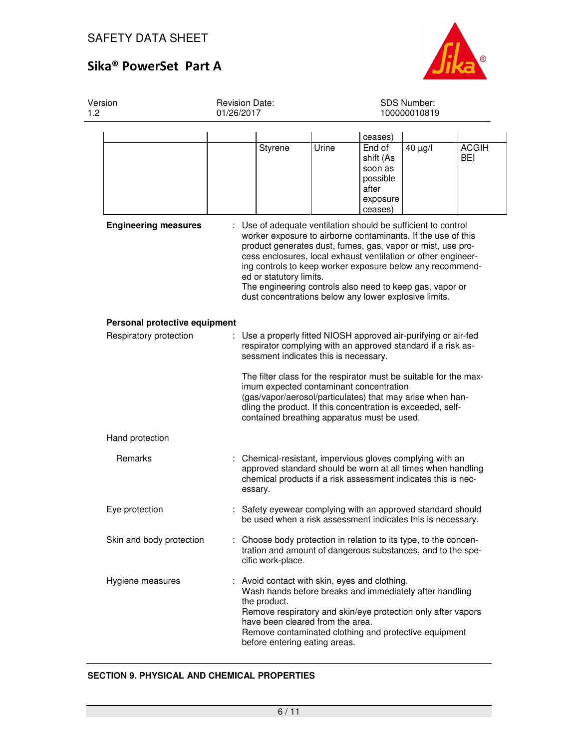

| Version<br>1.2 |                                                                                                                                                        |  | <b>Revision Date:</b><br>01/26/2017                                                                                                                                                                                                                                                                                                                                                                                                                                        |       |                                                                                                                                                                                  | SDS Number:<br>100000010819 |                     |  |
|----------------|--------------------------------------------------------------------------------------------------------------------------------------------------------|--|----------------------------------------------------------------------------------------------------------------------------------------------------------------------------------------------------------------------------------------------------------------------------------------------------------------------------------------------------------------------------------------------------------------------------------------------------------------------------|-------|----------------------------------------------------------------------------------------------------------------------------------------------------------------------------------|-----------------------------|---------------------|--|
|                |                                                                                                                                                        |  |                                                                                                                                                                                                                                                                                                                                                                                                                                                                            |       | ceases)                                                                                                                                                                          |                             |                     |  |
|                |                                                                                                                                                        |  | <b>Styrene</b>                                                                                                                                                                                                                                                                                                                                                                                                                                                             | Urine | End of<br>shift (As<br>soon as<br>possible<br>after<br>exposure<br>ceases)                                                                                                       | 40 µg/l                     | <b>ACGIH</b><br>BEI |  |
|                | <b>Engineering measures</b>                                                                                                                            |  | : Use of adequate ventilation should be sufficient to control<br>worker exposure to airborne contaminants. If the use of this<br>product generates dust, fumes, gas, vapor or mist, use pro-<br>cess enclosures, local exhaust ventilation or other engineer-<br>ing controls to keep worker exposure below any recommend-<br>ed or statutory limits.<br>The engineering controls also need to keep gas, vapor or<br>dust concentrations below any lower explosive limits. |       |                                                                                                                                                                                  |                             |                     |  |
|                | Personal protective equipment                                                                                                                          |  |                                                                                                                                                                                                                                                                                                                                                                                                                                                                            |       |                                                                                                                                                                                  |                             |                     |  |
|                | Respiratory protection                                                                                                                                 |  | : Use a properly fitted NIOSH approved air-purifying or air-fed<br>respirator complying with an approved standard if a risk as-<br>sessment indicates this is necessary.<br>The filter class for the respirator must be suitable for the max-<br>imum expected contaminant concentration<br>(gas/vapor/aerosol/particulates) that may arise when han-<br>dling the product. If this concentration is exceeded, self-<br>contained breathing apparatus must be used.        |       |                                                                                                                                                                                  |                             |                     |  |
|                | Hand protection                                                                                                                                        |  |                                                                                                                                                                                                                                                                                                                                                                                                                                                                            |       |                                                                                                                                                                                  |                             |                     |  |
|                | Remarks                                                                                                                                                |  | : Chemical-resistant, impervious gloves complying with an<br>approved standard should be worn at all times when handling<br>chemical products if a risk assessment indicates this is nec-<br>essary.                                                                                                                                                                                                                                                                       |       |                                                                                                                                                                                  |                             |                     |  |
|                | Eye protection                                                                                                                                         |  | : Safety eyewear complying with an approved standard should<br>be used when a risk assessment indicates this is necessary.                                                                                                                                                                                                                                                                                                                                                 |       |                                                                                                                                                                                  |                             |                     |  |
|                | Skin and body protection                                                                                                                               |  | Choose body protection in relation to its type, to the concen-<br>tration and amount of dangerous substances, and to the spe-<br>cific work-place.                                                                                                                                                                                                                                                                                                                         |       |                                                                                                                                                                                  |                             |                     |  |
|                | Hygiene measures<br>: Avoid contact with skin, eyes and clothing.<br>the product.<br>have been cleared from the area.<br>before entering eating areas. |  |                                                                                                                                                                                                                                                                                                                                                                                                                                                                            |       | Wash hands before breaks and immediately after handling<br>Remove respiratory and skin/eye protection only after vapors<br>Remove contaminated clothing and protective equipment |                             |                     |  |

### **SECTION 9. PHYSICAL AND CHEMICAL PROPERTIES**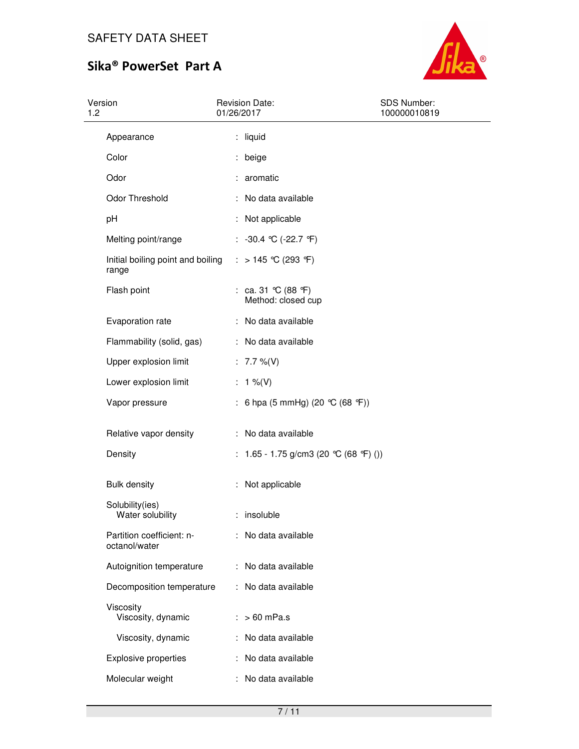

| Version<br>1.2 |                                            | 01/26/2017 | <b>Revision Date:</b>                     | <b>SDS Number:</b><br>100000010819 |  |  |
|----------------|--------------------------------------------|------------|-------------------------------------------|------------------------------------|--|--|
|                | Appearance                                 |            | : liquid                                  |                                    |  |  |
|                | Color                                      |            | beige                                     |                                    |  |  |
|                | Odor                                       |            | : aromatic                                |                                    |  |  |
|                | Odor Threshold                             |            | : No data available                       |                                    |  |  |
|                | pH                                         |            | : Not applicable                          |                                    |  |  |
|                | Melting point/range                        |            | : $-30.4$ °C ( $-22.7$ °F)                |                                    |  |  |
|                | Initial boiling point and boiling<br>range |            | : > 145 °C (293 °F)                       |                                    |  |  |
|                | Flash point                                |            | : ca. 31 °C (88 °F)<br>Method: closed cup |                                    |  |  |
|                | Evaporation rate                           |            | : No data available                       |                                    |  |  |
|                | Flammability (solid, gas)                  |            | : No data available                       |                                    |  |  |
|                | Upper explosion limit                      |            | : $7.7 \%$ (V)                            |                                    |  |  |
|                | Lower explosion limit                      |            | : $1\%$ (V)                               |                                    |  |  |
|                | Vapor pressure                             |            | : 6 hpa (5 mmHg) (20 °C (68 °F))          |                                    |  |  |
|                | Relative vapor density                     |            | : No data available                       |                                    |  |  |
|                | Density                                    |            | : $1.65 - 1.75$ g/cm3 (20 °C (68 °F) ())  |                                    |  |  |
|                | <b>Bulk density</b>                        |            | : Not applicable                          |                                    |  |  |
|                | Solubility(ies)<br>Water solubility        |            | insoluble                                 |                                    |  |  |
|                | Partition coefficient: n-<br>octanol/water |            | : No data available                       |                                    |  |  |
|                | Autoignition temperature                   |            | : No data available                       |                                    |  |  |
|                | Decomposition temperature                  |            | : No data available                       |                                    |  |  |
|                | Viscosity<br>Viscosity, dynamic            |            | $: >60$ mPa.s                             |                                    |  |  |
|                | Viscosity, dynamic                         |            | : No data available                       |                                    |  |  |
|                | <b>Explosive properties</b>                |            | : No data available                       |                                    |  |  |
|                | Molecular weight                           |            | No data available                         |                                    |  |  |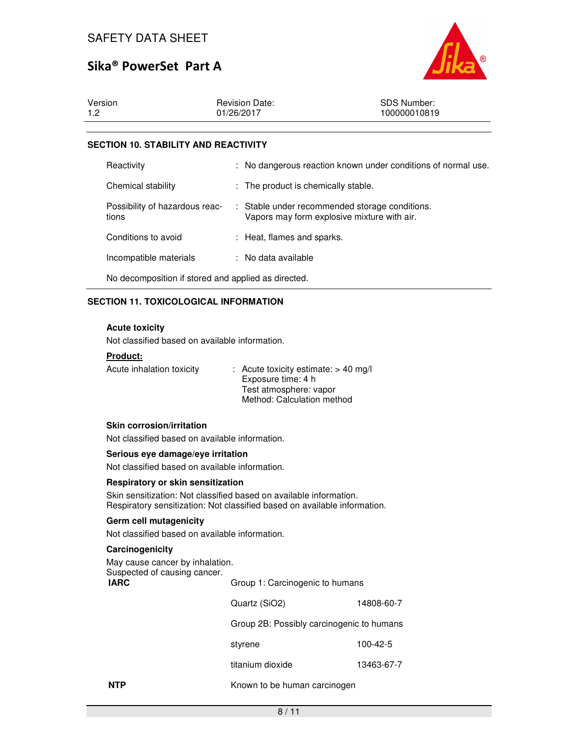

| Version    | <b>Revision Date:</b> | <b>SDS Number:</b> |
|------------|-----------------------|--------------------|
| <u>າ</u> ດ | 01/26/2017            | 100000010819       |

#### **SECTION 10. STABILITY AND REACTIVITY**

| Reactivity                                          |  | : No dangerous reaction known under conditions of normal use.                                 |  |  |  |  |
|-----------------------------------------------------|--|-----------------------------------------------------------------------------------------------|--|--|--|--|
| Chemical stability                                  |  | : The product is chemically stable.                                                           |  |  |  |  |
| Possibility of hazardous reac-<br>tions             |  | : Stable under recommended storage conditions.<br>Vapors may form explosive mixture with air. |  |  |  |  |
| Conditions to avoid                                 |  | : Heat, flames and sparks.                                                                    |  |  |  |  |
| Incompatible materials                              |  | : No data available                                                                           |  |  |  |  |
| No decomposition if stored and applied as directed. |  |                                                                                               |  |  |  |  |

#### **SECTION 11. TOXICOLOGICAL INFORMATION**

#### **Acute toxicity**

Not classified based on available information.

#### **Product:**

| Acute inhalation toxicity | $\therefore$ Acute toxicity estimate: > 40 mg/l |
|---------------------------|-------------------------------------------------|
|                           | Exposure time: 4 h                              |
|                           | Test atmosphere: vapor                          |
|                           | Method: Calculation method                      |

#### **Skin corrosion/irritation**

Not classified based on available information.

#### **Serious eye damage/eye irritation**

Not classified based on available information.

#### **Respiratory or skin sensitization**

Skin sensitization: Not classified based on available information. Respiratory sensitization: Not classified based on available information.

#### **Germ cell mutagenicity**

Not classified based on available information.

#### **Carcinogenicity**

May cause cancer by inhalation.<br>Suspected of causing cancer.

| Suspected of causing cancer.<br><b>IARC</b> | Group 1: Carcinogenic to humans           |            |  |  |
|---------------------------------------------|-------------------------------------------|------------|--|--|
|                                             | Quartz (SiO2)                             | 14808-60-7 |  |  |
|                                             | Group 2B: Possibly carcinogenic to humans |            |  |  |
|                                             | styrene                                   | 100-42-5   |  |  |
|                                             | titanium dioxide                          | 13463-67-7 |  |  |
|                                             |                                           |            |  |  |

**NTP** Known to be human carcinogen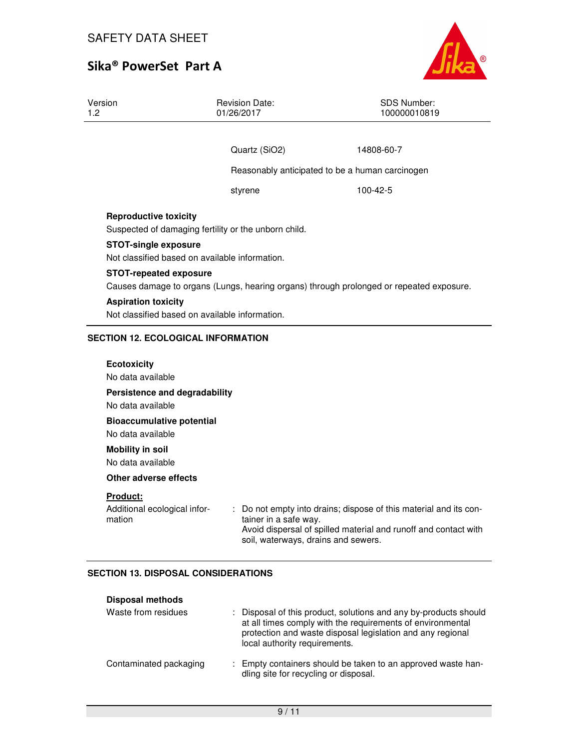

| Version<br>1.2                                                                                                           | <b>Revision Date:</b><br>01/26/2017                                          | <b>SDS Number:</b><br>100000010819              |  |  |  |  |
|--------------------------------------------------------------------------------------------------------------------------|------------------------------------------------------------------------------|-------------------------------------------------|--|--|--|--|
|                                                                                                                          |                                                                              |                                                 |  |  |  |  |
|                                                                                                                          | Quartz (SiO2)                                                                | 14808-60-7                                      |  |  |  |  |
|                                                                                                                          |                                                                              | Reasonably anticipated to be a human carcinogen |  |  |  |  |
|                                                                                                                          | styrene                                                                      | 100-42-5                                        |  |  |  |  |
| <b>Reproductive toxicity</b>                                                                                             | Suspected of damaging fertility or the unborn child.                         |                                                 |  |  |  |  |
| <b>STOT-single exposure</b>                                                                                              | Not classified based on available information.                               |                                                 |  |  |  |  |
| <b>STOT-repeated exposure</b><br>Causes damage to organs (Lungs, hearing organs) through prolonged or repeated exposure. |                                                                              |                                                 |  |  |  |  |
|                                                                                                                          | <b>Aspiration toxicity</b><br>Not classified based on available information. |                                                 |  |  |  |  |
|                                                                                                                          | <b>SECTION 12. ECOLOGICAL INFORMATION</b>                                    |                                                 |  |  |  |  |
| <b>Ecotoxicity</b>                                                                                                       |                                                                              |                                                 |  |  |  |  |

No data available **Persistence and degradability**  No data available **Bioaccumulative potential**  No data available **Mobility in soil**  No data available **Other adverse effects Product:**  Additional ecological information : Do not empty into drains; dispose of this material and its container in a safe way. Avoid dispersal of spilled material and runoff and contact with soil, waterways, drains and sewers.

### **SECTION 13. DISPOSAL CONSIDERATIONS**

| <b>Disposal methods</b> |  |                                                                                                                                                                                                                               |
|-------------------------|--|-------------------------------------------------------------------------------------------------------------------------------------------------------------------------------------------------------------------------------|
| Waste from residues     |  | : Disposal of this product, solutions and any by-products should<br>at all times comply with the requirements of environmental<br>protection and waste disposal legislation and any regional<br>local authority requirements. |
| Contaminated packaging  |  | : Empty containers should be taken to an approved waste han-<br>dling site for recycling or disposal.                                                                                                                         |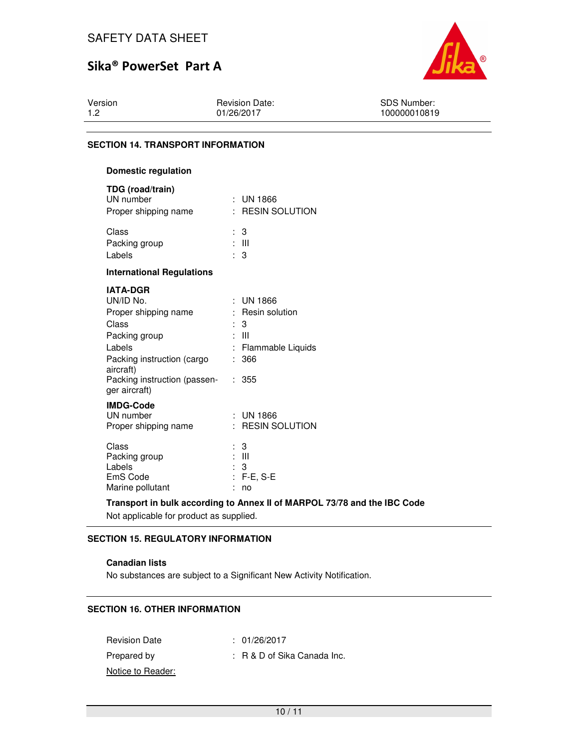

Version 1.2

Revision Date: 01/26/2017

SDS Number: 100000010819

## **SECTION 14. TRANSPORT INFORMATION**

| <b>Domestic regulation</b>                                                                                                                                                           |         |                                                                                        |
|--------------------------------------------------------------------------------------------------------------------------------------------------------------------------------------|---------|----------------------------------------------------------------------------------------|
| TDG (road/train)<br>UN number<br>Proper shipping name                                                                                                                                |         | $:$ UN 1866<br>: RESIN SOLUTION                                                        |
| Class<br>Packing group<br>Labels                                                                                                                                                     | ÷.      | 3<br>: III<br>3                                                                        |
| <b>International Regulations</b>                                                                                                                                                     |         |                                                                                        |
| <b>IATA-DGR</b><br>UN/ID No.<br>Proper shipping name<br>Class<br>Packing group<br>Labels<br>Packing instruction (cargo<br>aircraft)<br>Packing instruction (passen-<br>ger aircraft) | ÷<br>÷. | $\pm$ UN 1866<br>: Resin solution<br>3<br>: III<br>: Flammable Liquids<br>366<br>: 355 |
| <b>IMDG-Code</b><br>UN number<br>Proper shipping name                                                                                                                                |         | $:$ UN 1866<br>: RESIN SOLUTION                                                        |
| Class<br>Packing group<br>Labels<br>EmS Code<br>Marine pollutant                                                                                                                     |         | 3<br>$\therefore$ III<br>3<br>$F-E, S-E$<br>no                                         |

**Transport in bulk according to Annex II of MARPOL 73/78 and the IBC Code** 

Not applicable for product as supplied.

### **SECTION 15. REGULATORY INFORMATION**

### **Canadian lists**

No substances are subject to a Significant New Activity Notification.

## **SECTION 16. OTHER INFORMATION**

Revision Date : 01/26/2017 Prepared by : R & D of Sika Canada Inc. Notice to Reader: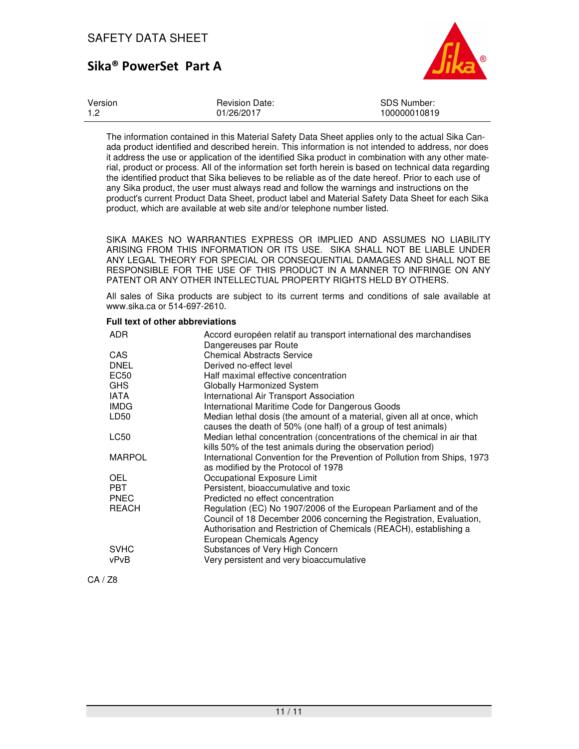

| Version | <b>Revision Date:</b> | SDS Number:  |
|---------|-----------------------|--------------|
| $-1.2$  | 01/26/2017            | 100000010819 |

The information contained in this Material Safety Data Sheet applies only to the actual Sika Canada product identified and described herein. This information is not intended to address, nor does it address the use or application of the identified Sika product in combination with any other material, product or process. All of the information set forth herein is based on technical data regarding the identified product that Sika believes to be reliable as of the date hereof. Prior to each use of any Sika product, the user must always read and follow the warnings and instructions on the product's current Product Data Sheet, product label and Material Safety Data Sheet for each Sika product, which are available at web site and/or telephone number listed.

SIKA MAKES NO WARRANTIES EXPRESS OR IMPLIED AND ASSUMES NO LIABILITY ARISING FROM THIS INFORMATION OR ITS USE. SIKA SHALL NOT BE LIABLE UNDER ANY LEGAL THEORY FOR SPECIAL OR CONSEQUENTIAL DAMAGES AND SHALL NOT BE RESPONSIBLE FOR THE USE OF THIS PRODUCT IN A MANNER TO INFRINGE ON ANY PATENT OR ANY OTHER INTELLECTUAL PROPERTY RIGHTS HELD BY OTHERS.

All sales of Sika products are subject to its current terms and conditions of sale available at www.sika.ca or 514-697-2610.

#### **Full text of other abbreviations**

| ADR.          | Accord européen relatif au transport international des marchandises       |
|---------------|---------------------------------------------------------------------------|
|               | Dangereuses par Route                                                     |
| CAS           | <b>Chemical Abstracts Service</b>                                         |
| <b>DNEL</b>   | Derived no-effect level                                                   |
| <b>EC50</b>   | Half maximal effective concentration                                      |
| <b>GHS</b>    | Globally Harmonized System                                                |
| <b>IATA</b>   | International Air Transport Association                                   |
| <b>IMDG</b>   | International Maritime Code for Dangerous Goods                           |
| LD50          | Median lethal dosis (the amount of a material, given all at once, which   |
|               | causes the death of 50% (one half) of a group of test animals)            |
| LC50          | Median lethal concentration (concentrations of the chemical in air that   |
|               | kills 50% of the test animals during the observation period)              |
| <b>MARPOL</b> | International Convention for the Prevention of Pollution from Ships, 1973 |
|               | as modified by the Protocol of 1978                                       |
| <b>OEL</b>    | Occupational Exposure Limit                                               |
| <b>PBT</b>    | Persistent, bioaccumulative and toxic                                     |
| <b>PNEC</b>   | Predicted no effect concentration                                         |
| <b>REACH</b>  | Regulation (EC) No 1907/2006 of the European Parliament and of the        |
|               | Council of 18 December 2006 concerning the Registration, Evaluation,      |
|               | Authorisation and Restriction of Chemicals (REACH), establishing a        |
|               | European Chemicals Agency                                                 |
| <b>SVHC</b>   | Substances of Very High Concern                                           |
| vPvB          | Very persistent and very bioaccumulative                                  |
|               |                                                                           |

CA / Z8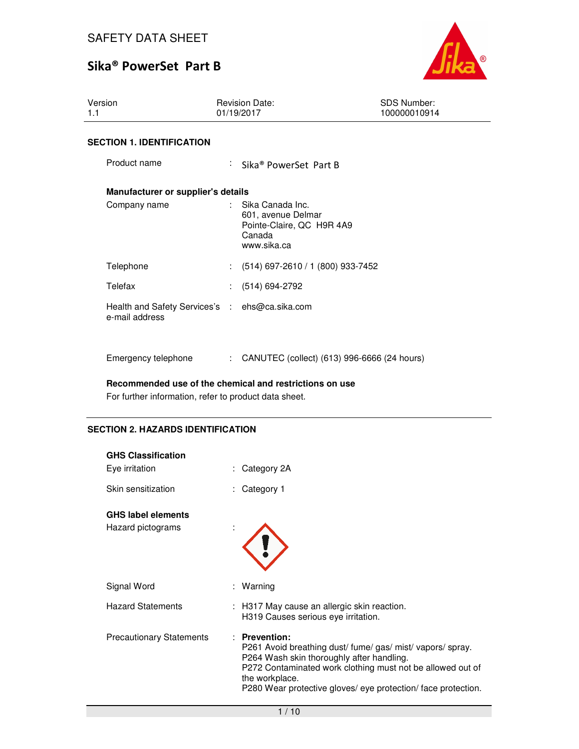

| Version<br>1.1                                                   |  | <b>Revision Date:</b><br>01/19/2017                                                                       | <b>SDS Number:</b><br>100000010914 |  |  |  |  |
|------------------------------------------------------------------|--|-----------------------------------------------------------------------------------------------------------|------------------------------------|--|--|--|--|
| <b>SECTION 1. IDENTIFICATION</b>                                 |  |                                                                                                           |                                    |  |  |  |  |
| Product name                                                     |  | : Sika® PowerSet Part B                                                                                   |                                    |  |  |  |  |
| Manufacturer or supplier's details                               |  |                                                                                                           |                                    |  |  |  |  |
| Company name                                                     |  | $\therefore$ Sika Canada Inc.<br>601, avenue Delmar<br>Pointe-Claire, QC H9R 4A9<br>Canada<br>www.sika.ca |                                    |  |  |  |  |
| Telephone                                                        |  | $(514)$ 697-2610 / 1 (800) 933-7452                                                                       |                                    |  |  |  |  |
| Telefax                                                          |  | : (514) 694-2792                                                                                          |                                    |  |  |  |  |
| Health and Safety Services's : ehs@ca.sika.com<br>e-mail address |  |                                                                                                           |                                    |  |  |  |  |
| Emergency telephone                                              |  | : CANUTEC (collect) (613) 996-6666 (24 hours)                                                             |                                    |  |  |  |  |

**Recommended use of the chemical and restrictions on use** 

For further information, refer to product data sheet.

## **SECTION 2. HAZARDS IDENTIFICATION**

| <b>GHS Classification</b>       |                                                                                                                                                                                                                                                                         |
|---------------------------------|-------------------------------------------------------------------------------------------------------------------------------------------------------------------------------------------------------------------------------------------------------------------------|
| Eye irritation                  | Category 2A                                                                                                                                                                                                                                                             |
| Skin sensitization              | Category 1                                                                                                                                                                                                                                                              |
| <b>GHS label elements</b>       |                                                                                                                                                                                                                                                                         |
| Hazard pictograms               |                                                                                                                                                                                                                                                                         |
| Signal Word                     | : Warning                                                                                                                                                                                                                                                               |
| <b>Hazard Statements</b>        | : H317 May cause an allergic skin reaction.<br>H319 Causes serious eye irritation.                                                                                                                                                                                      |
| <b>Precautionary Statements</b> | : Prevention:<br>P261 Avoid breathing dust/ fume/gas/ mist/ vapors/ spray.<br>P264 Wash skin thoroughly after handling.<br>P272 Contaminated work clothing must not be allowed out of<br>the workplace.<br>P280 Wear protective gloves/ eye protection/face protection. |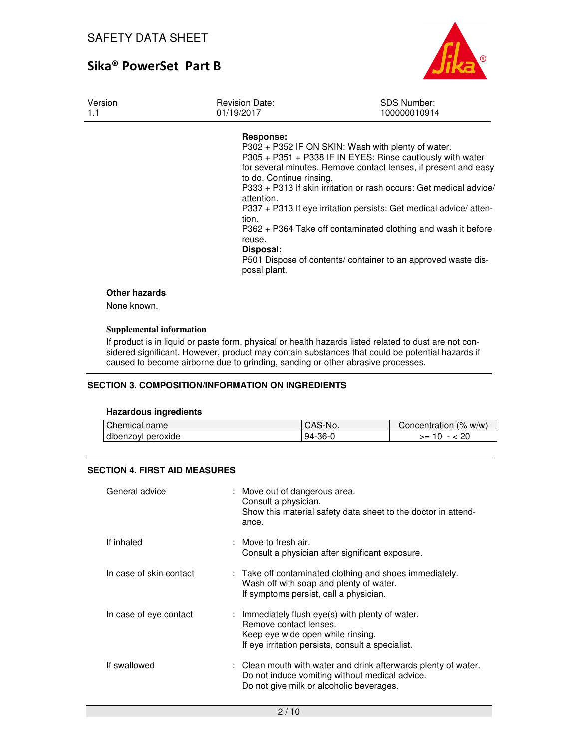

| Version<br>1.1                      | <b>Revision Date:</b><br>01/19/2017                                                                 | <b>SDS Number:</b><br>100000010914                                                                                                                                                                                                                                                                                                                                                                                                                                |
|-------------------------------------|-----------------------------------------------------------------------------------------------------|-------------------------------------------------------------------------------------------------------------------------------------------------------------------------------------------------------------------------------------------------------------------------------------------------------------------------------------------------------------------------------------------------------------------------------------------------------------------|
|                                     | Response:<br>to do. Continue rinsing.<br>attention.<br>tion.<br>reuse.<br>Disposal:<br>posal plant. | P302 + P352 IF ON SKIN: Wash with plenty of water.<br>P305 + P351 + P338 IF IN EYES: Rinse cautiously with water<br>for several minutes. Remove contact lenses, if present and easy<br>P333 + P313 If skin irritation or rash occurs: Get medical advice/<br>P337 + P313 If eye irritation persists: Get medical advice/ atten-<br>P362 + P364 Take off contaminated clothing and wash it before<br>P501 Dispose of contents/ container to an approved waste dis- |
| <b>Other hazards</b><br>None known. |                                                                                                     |                                                                                                                                                                                                                                                                                                                                                                                                                                                                   |

### **Supplemental information**

If product is in liquid or paste form, physical or health hazards listed related to dust are not considered significant. However, product may contain substances that could be potential hazards if caused to become airborne due to grinding, sanding or other abrasive processes.

#### **SECTION 3. COMPOSITION/INFORMATION ON INGREDIENTS**

#### **Hazardous ingredients**

| Chemical name              | S-No.<br>CAS | (% w/w)<br>Concentration |
|----------------------------|--------------|--------------------------|
| .<br>dibenzoyl<br>peroxide | $94-36-0$    | 20<br>>= ∈               |

### **SECTION 4. FIRST AID MEASURES**

| General advice          | : Move out of dangerous area.<br>Consult a physician.<br>Show this material safety data sheet to the doctor in attend-<br>ance.                                      |
|-------------------------|----------------------------------------------------------------------------------------------------------------------------------------------------------------------|
| If inhaled              | $\therefore$ Move to fresh air.<br>Consult a physician after significant exposure.                                                                                   |
| In case of skin contact | : Take off contaminated clothing and shoes immediately.<br>Wash off with soap and plenty of water.<br>If symptoms persist, call a physician.                         |
| In case of eye contact  | : Immediately flush eye(s) with plenty of water.<br>Remove contact lenses.<br>Keep eye wide open while rinsing.<br>If eye irritation persists, consult a specialist. |
| If swallowed            | : Clean mouth with water and drink afterwards plenty of water.<br>Do not induce vomiting without medical advice.<br>Do not give milk or alcoholic beverages.         |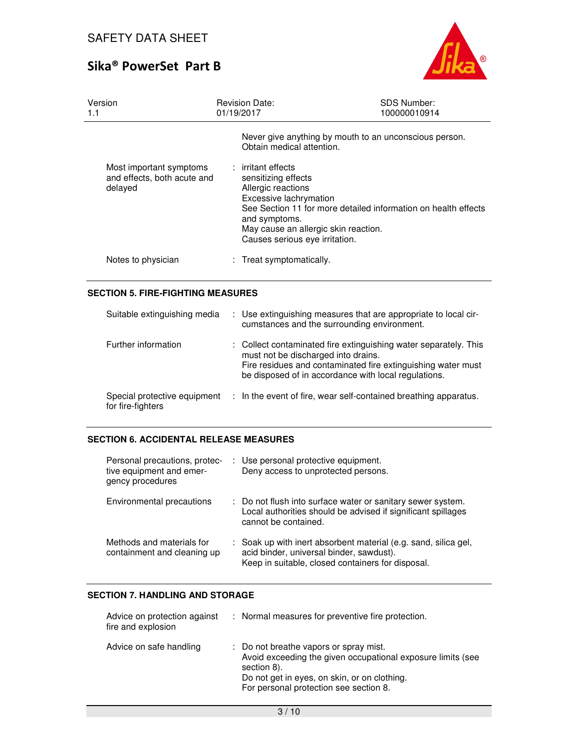

| Version<br>1.1                                                    | Revision Date:<br>01/19/2017                                                                                                                                                         | <b>SDS Number:</b><br>100000010914                             |
|-------------------------------------------------------------------|--------------------------------------------------------------------------------------------------------------------------------------------------------------------------------------|----------------------------------------------------------------|
|                                                                   | Obtain medical attention.                                                                                                                                                            | Never give anything by mouth to an unconscious person.         |
| Most important symptoms<br>and effects, both acute and<br>delayed | : irritant effects<br>sensitizing effects<br>Allergic reactions<br>Excessive lachrymation<br>and symptoms.<br>May cause an allergic skin reaction.<br>Causes serious eye irritation. | See Section 11 for more detailed information on health effects |
| Notes to physician                                                | : Treat symptomatically.                                                                                                                                                             |                                                                |

### **SECTION 5. FIRE-FIGHTING MEASURES**

| Suitable extinguishing media                      | : Use extinguishing measures that are appropriate to local cir-<br>cumstances and the surrounding environment.                                                                                                                  |
|---------------------------------------------------|---------------------------------------------------------------------------------------------------------------------------------------------------------------------------------------------------------------------------------|
| Further information                               | : Collect contaminated fire extinguishing water separately. This<br>must not be discharged into drains.<br>Fire residues and contaminated fire extinguishing water must<br>be disposed of in accordance with local regulations. |
| Special protective equipment<br>for fire-fighters | : In the event of fire, wear self-contained breathing apparatus.                                                                                                                                                                |

## **SECTION 6. ACCIDENTAL RELEASE MEASURES**

| Personal precautions, protec-<br>tive equipment and emer-<br>gency procedures | : Use personal protective equipment.<br>Deny access to unprotected persons.                                                                                      |
|-------------------------------------------------------------------------------|------------------------------------------------------------------------------------------------------------------------------------------------------------------|
| Environmental precautions                                                     | : Do not flush into surface water or sanitary sewer system.<br>Local authorities should be advised if significant spillages<br>cannot be contained.              |
| Methods and materials for<br>containment and cleaning up                      | : Soak up with inert absorbent material (e.g. sand, silica gel,<br>acid binder, universal binder, sawdust).<br>Keep in suitable, closed containers for disposal. |

### **SECTION 7. HANDLING AND STORAGE**

| Advice on protection against<br>fire and explosion | : Normal measures for preventive fire protection.                                                                                                                                                              |
|----------------------------------------------------|----------------------------------------------------------------------------------------------------------------------------------------------------------------------------------------------------------------|
| Advice on safe handling                            | : Do not breathe vapors or spray mist.<br>Avoid exceeding the given occupational exposure limits (see<br>section 8).<br>Do not get in eyes, on skin, or on clothing.<br>For personal protection see section 8. |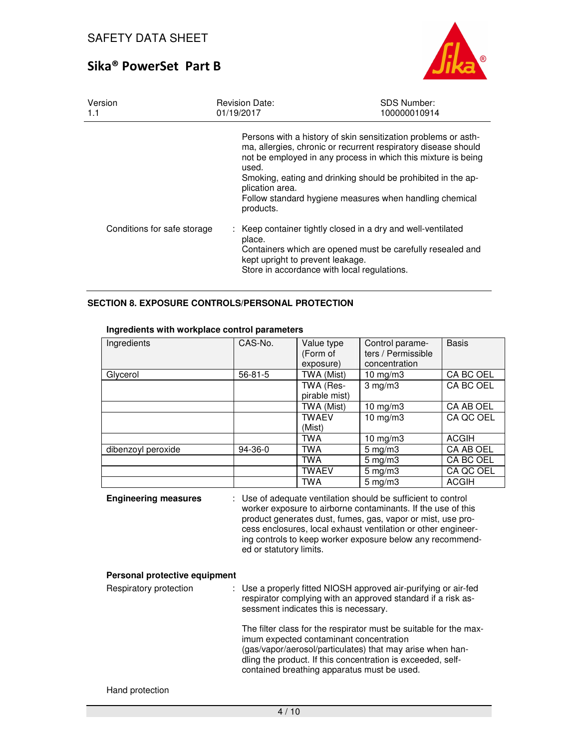

| Version<br>1.1              | <b>Revision Date:</b><br>01/19/2017                                                                                                                                                                                                                                                                                                                                   | <b>SDS Number:</b><br>100000010914 |
|-----------------------------|-----------------------------------------------------------------------------------------------------------------------------------------------------------------------------------------------------------------------------------------------------------------------------------------------------------------------------------------------------------------------|------------------------------------|
|                             | Persons with a history of skin sensitization problems or asth-<br>ma, allergies, chronic or recurrent respiratory disease should<br>not be employed in any process in which this mixture is being<br>used.<br>Smoking, eating and drinking should be prohibited in the ap-<br>plication area.<br>Follow standard hygiene measures when handling chemical<br>products. |                                    |
| Conditions for safe storage | : Keep container tightly closed in a dry and well-ventilated<br>place.<br>Containers which are opened must be carefully resealed and<br>kept upright to prevent leakage.<br>Store in accordance with local regulations.                                                                                                                                               |                                    |

### **SECTION 8. EXPOSURE CONTROLS/PERSONAL PROTECTION**

| Ingredients        | CAS-No.       | Value type    | Control parame-    | <b>Basis</b> |
|--------------------|---------------|---------------|--------------------|--------------|
|                    |               | (Form of      | ters / Permissible |              |
|                    |               | exposure)     | concentration      |              |
| Glycerol           | $56 - 81 - 5$ | TWA (Mist)    | $10 \text{ mg/m}$  | CA BC OEL    |
|                    |               | TWA (Res-     | 3 mg/m3            | CA BC OEL    |
|                    |               | pirable mist) |                    |              |
|                    |               | TWA (Mist)    | 10 $mg/m3$         | CA AB OEL    |
|                    |               | <b>TWAEV</b>  | 10 $mg/m3$         | CA QC OEL    |
|                    |               | (Mist)        |                    |              |
|                    |               | TWA           | 10 $mg/m3$         | <b>ACGIH</b> |
| dibenzoyl peroxide | $94-36-0$     | <b>TWA</b>    | $5 \text{ mg/m}$ 3 | CA AB OEL    |
|                    |               | TWA           | $5 \text{ mg/m}$ 3 | CA BC OEL    |
|                    |               | <b>TWAEV</b>  | $5$ mg/m $3$       | CA QC OEL    |
|                    |               | <b>TWA</b>    | $5 \text{ mg/m}$ 3 | <b>ACGIH</b> |

### **Ingredients with workplace control parameters**

| <b>Engineering measures</b> | : Use of adequate ventilation should be sufficient to control |
|-----------------------------|---------------------------------------------------------------|
|                             | worker exposure to airborne contaminants. If the use of this  |
|                             | product generates dust, fumes, gas, vapor or mist, use pro-   |
|                             | cess enclosures, local exhaust ventilation or other engineer- |
|                             | ing controls to keep worker exposure below any recommend-     |
|                             | ed or statutory limits.                                       |

### **Personal protective equipment**

| Respiratory protection | : Use a properly fitted NIOSH approved air-purifying or air-fed<br>respirator complying with an approved standard if a risk as-<br>sessment indicates this is necessary.                                                                                                                |
|------------------------|-----------------------------------------------------------------------------------------------------------------------------------------------------------------------------------------------------------------------------------------------------------------------------------------|
|                        | The filter class for the respirator must be suitable for the max-<br>imum expected contaminant concentration<br>(gas/vapor/aerosol/particulates) that may arise when han-<br>dling the product. If this concentration is exceeded, self-<br>contained breathing apparatus must be used. |

Hand protection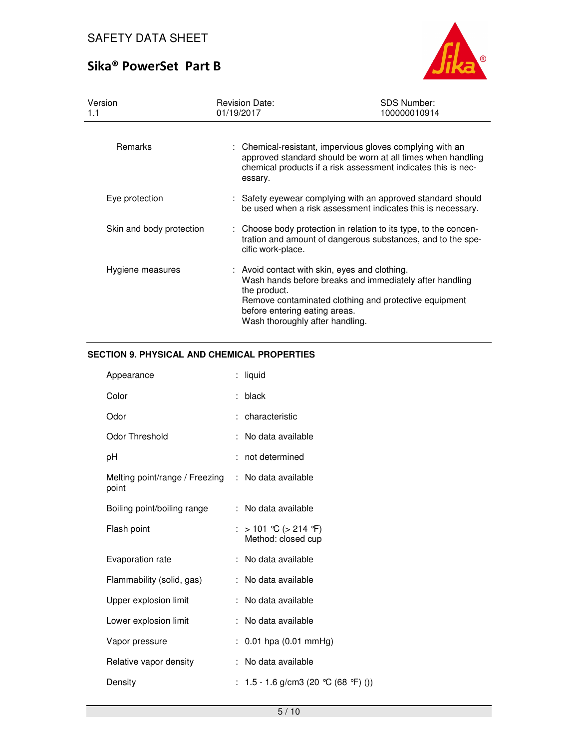

| Version<br>1.1           | <b>Revision Date:</b><br>01/19/2017                                                                                               | <b>SDS Number:</b><br>100000010914                                                                                                                                                        |
|--------------------------|-----------------------------------------------------------------------------------------------------------------------------------|-------------------------------------------------------------------------------------------------------------------------------------------------------------------------------------------|
| <b>Remarks</b>           | essary.                                                                                                                           | : Chemical-resistant, impervious gloves complying with an<br>approved standard should be worn at all times when handling<br>chemical products if a risk assessment indicates this is nec- |
| Eye protection           |                                                                                                                                   | : Safety eyewear complying with an approved standard should<br>be used when a risk assessment indicates this is necessary.                                                                |
| Skin and body protection | cific work-place.                                                                                                                 | : Choose body protection in relation to its type, to the concen-<br>tration and amount of dangerous substances, and to the spe-                                                           |
| Hygiene measures         | : Avoid contact with skin, eyes and clothing.<br>the product.<br>before entering eating areas.<br>Wash thoroughly after handling. | Wash hands before breaks and immediately after handling<br>Remove contaminated clothing and protective equipment                                                                          |

## **SECTION 9. PHYSICAL AND CHEMICAL PROPERTIES**

| Appearance                              | : liquid                                 |
|-----------------------------------------|------------------------------------------|
| Color                                   | black                                    |
| Odor                                    | : characteristic                         |
| Odor Threshold                          | No data available                        |
| рH                                      | not determined                           |
| Melting point/range / Freezing<br>point | : No data available                      |
| Boiling point/boiling range             | : No data available                      |
| Flash point                             | > 101 ℃ (> 214 °F)<br>Method: closed cup |
| Evaporation rate                        | : No data available                      |
| Flammability (solid, gas)               | : No data available                      |
| Upper explosion limit                   | : No data available                      |
| Lower explosion limit                   | No data available                        |
| Vapor pressure                          | : $0.01$ hpa $(0.01$ mmHg)               |
| Relative vapor density                  | : No data available                      |
| Density                                 | : 1.5 - 1.6 g/cm3 (20 °C (68 °F) ())     |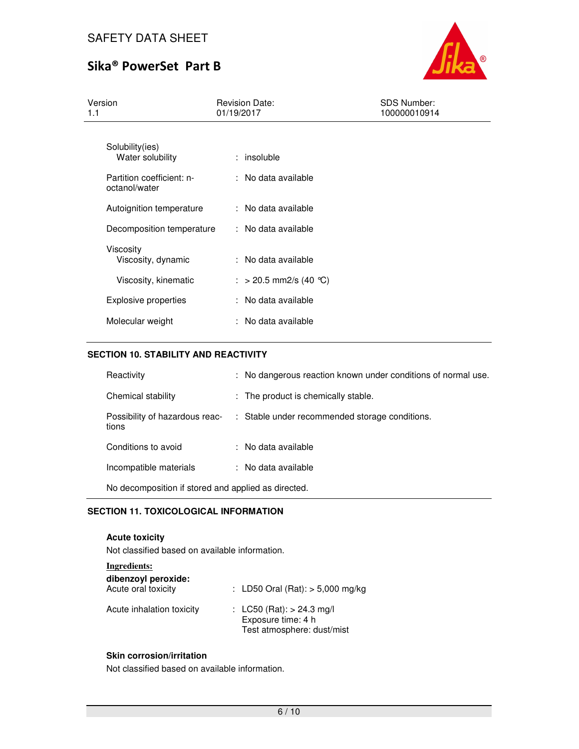

| Version<br>1.1                                                                    | <b>Revision Date:</b><br>01/19/2017           | SDS Number:<br>100000010914 |  |  |
|-----------------------------------------------------------------------------------|-----------------------------------------------|-----------------------------|--|--|
| Solubility(ies)<br>Water solubility<br>Partition coefficient: n-<br>octanol/water | : insoluble<br>: No data available            |                             |  |  |
| Autoignition temperature<br>Decomposition temperature                             | : No data available<br>: No data available    |                             |  |  |
| Viscosity<br>Viscosity, dynamic<br>Viscosity, kinematic                           | : No data available<br>: > 20.5 mm2/s (40 °C) |                             |  |  |
| Explosive properties                                                              | : No data available                           |                             |  |  |
| Molecular weight                                                                  | : No data available                           |                             |  |  |

### **SECTION 10. STABILITY AND REACTIVITY**

| Reactivity                                          |  | : No dangerous reaction known under conditions of normal use. |  |
|-----------------------------------------------------|--|---------------------------------------------------------------|--|
| Chemical stability                                  |  | : The product is chemically stable.                           |  |
| Possibility of hazardous reac-<br>tions             |  | : Stable under recommended storage conditions.                |  |
| Conditions to avoid                                 |  | : No data available                                           |  |
| Incompatible materials                              |  | : No data available                                           |  |
| No decomposition if stored and applied as directed. |  |                                                               |  |

## **SECTION 11. TOXICOLOGICAL INFORMATION**

**Acute toxicity**  Not classified based on available information.

| Ingredients:                               |                                                                                 |
|--------------------------------------------|---------------------------------------------------------------------------------|
| dibenzoyl peroxide:<br>Acute oral toxicity | : LD50 Oral (Rat): $>$ 5,000 mg/kg                                              |
| Acute inhalation toxicity                  | : LC50 (Rat): $> 24.3$ mg/l<br>Exposure time: 4 h<br>Test atmosphere: dust/mist |

### **Skin corrosion/irritation**

Not classified based on available information.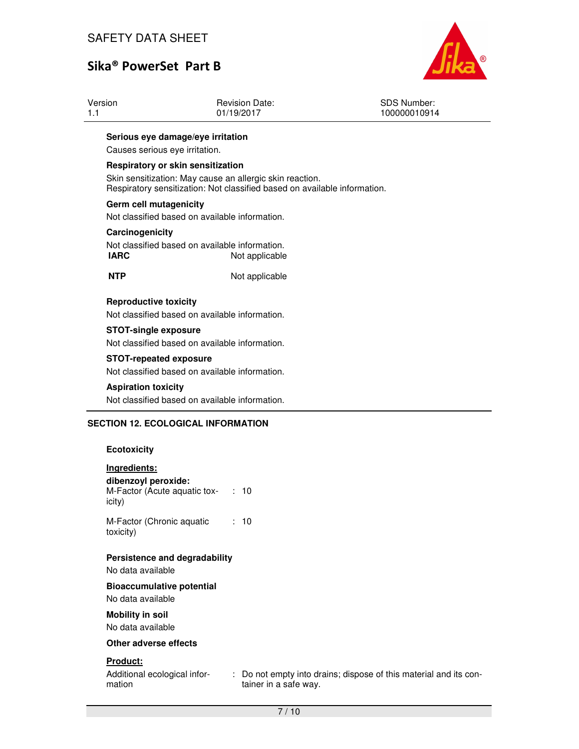

| Version | Revision Date:                    | SDS Number:  |
|---------|-----------------------------------|--------------|
| 1.1     | 01/19/2017                        | 100000010914 |
|         | Serious eye damage/eye irritation |              |

Causes serious eye irritation.

#### **Respiratory or skin sensitization**

Skin sensitization: May cause an allergic skin reaction. Respiratory sensitization: Not classified based on available information.

#### **Germ cell mutagenicity**

Not classified based on available information.

#### **Carcinogenicity**

Not classified based on available information.<br> **IARC** Not applicable **Not applicable** 

**NTP** Not applicable

#### **Reproductive toxicity**

Not classified based on available information.

#### **STOT-single exposure**

Not classified based on available information.

#### **STOT-repeated exposure**

Not classified based on available information.

#### **Aspiration toxicity**

Not classified based on available information.

#### **SECTION 12. ECOLOGICAL INFORMATION**

#### **Ecotoxicity**

| Ingredients:<br>dibenzoyl peroxide:         |               |
|---------------------------------------------|---------------|
| M-Factor (Acute aquatic tox- : 10<br>icity) |               |
| M-Factor (Chronic aquatic<br>toxicity)      | : 10          |
| Persistence and degradability               |               |
| No data available                           |               |
| <b>Bioaccumulative potential</b>            |               |
| No data available                           |               |
| Mobility in soil                            |               |
| No data available                           |               |
| Other adverse effects                       |               |
| <b>Product:</b>                             |               |
| Additional ecological infor-<br>mation      | Do r<br>taine |

not empty into drains; dispose of this material and its container in a safe way.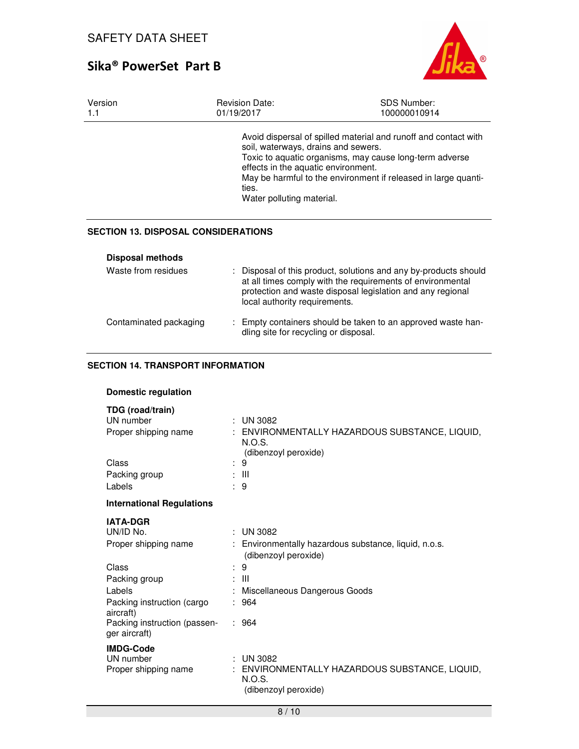

| Version<br>1.1          | <b>Revision Date:</b><br>01/19/2017                                                                              | <b>SDS Number:</b><br>100000010914                                                                                                                                                           |
|-------------------------|------------------------------------------------------------------------------------------------------------------|----------------------------------------------------------------------------------------------------------------------------------------------------------------------------------------------|
|                         | soil, waterways, drains and sewers.<br>effects in the aquatic environment.<br>ties.<br>Water polluting material. | Avoid dispersal of spilled material and runoff and contact with<br>Toxic to aquatic organisms, may cause long-term adverse<br>May be harmful to the environment if released in large quanti- |
|                         | <b>SECTION 13. DISPOSAL CONSIDERATIONS</b>                                                                       |                                                                                                                                                                                              |
| <b>Disposal methods</b> |                                                                                                                  |                                                                                                                                                                                              |

| Waste from residues    | : Disposal of this product, solutions and any by-products should<br>at all times comply with the requirements of environmental<br>protection and waste disposal legislation and any regional<br>local authority requirements. |
|------------------------|-------------------------------------------------------------------------------------------------------------------------------------------------------------------------------------------------------------------------------|
| Contaminated packaging | : Empty containers should be taken to an approved waste han-<br>dling site for recycling or disposal.                                                                                                                         |

## **SECTION 14. TRANSPORT INFORMATION**

## **Domestic regulation**

|  | TDG (road/train) |
|--|------------------|
|--|------------------|

| UN number                                     |   | <b>UN 3082</b>                                                                                  |
|-----------------------------------------------|---|-------------------------------------------------------------------------------------------------|
| Proper shipping name                          |   | ENVIRONMENTALLY HAZARDOUS SUBSTANCE, LIQUID,<br>N.O.S.                                          |
|                                               |   | (dibenzoyl peroxide)                                                                            |
| Class                                         |   | $\cdot$ 9                                                                                       |
| Packing group                                 |   | : III                                                                                           |
| Labels                                        |   | . 9                                                                                             |
| <b>International Regulations</b>              |   |                                                                                                 |
| <b>IATA-DGR</b>                               |   |                                                                                                 |
| UN/ID No.                                     | ÷ | <b>UN 3082</b>                                                                                  |
| Proper shipping name                          |   | : Environmentally hazardous substance, liquid, n.o.s.<br>(dibenzoyl peroxide)                   |
| Class                                         |   | : 9                                                                                             |
| Packing group                                 |   | : III                                                                                           |
| Labels                                        |   | Miscellaneous Dangerous Goods                                                                   |
| Packing instruction (cargo<br>aircraft)       |   | 964                                                                                             |
| Packing instruction (passen-<br>ger aircraft) |   | : 964                                                                                           |
| <b>IMDG-Code</b>                              |   |                                                                                                 |
| UN number<br>Proper shipping name             |   | $:$ UN 3082<br>: ENVIRONMENTALLY HAZARDOUS SUBSTANCE, LIQUID,<br>N.O.S.<br>(dibenzoyl peroxide) |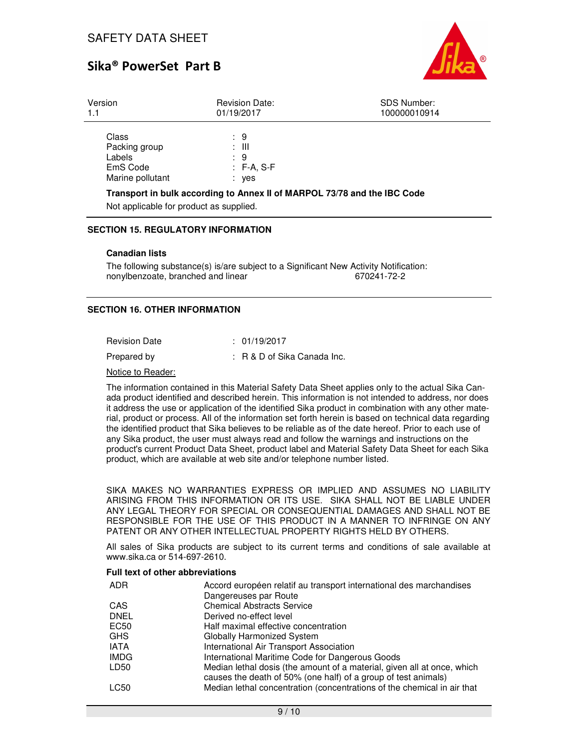

| Version                                                          | <b>Revision Date:</b>                                                                                                    | <b>SDS Number:</b> |
|------------------------------------------------------------------|--------------------------------------------------------------------------------------------------------------------------|--------------------|
| 1.1                                                              | 01/19/2017                                                                                                               | 100000010914       |
| Class<br>Packing group<br>Labels<br>EmS Code<br>Marine pollutant | : 9<br>: III<br>: 9<br>$: F-A, S-F$<br>: yes<br>Transport in bulk according to Annex II of MARPOL 73/78 and the IBC Code |                    |

Not applicable for product as supplied.

#### **SECTION 15. REGULATORY INFORMATION**

#### **Canadian lists**

The following substance(s) is/are subject to a Significant New Activity Notification:<br>670241-72-2 670241-72-2 nonylbenzoate, branched and linear

### **SECTION 16. OTHER INFORMATION**

| <b>Revision Date</b> | : 01/19/2017                   |
|----------------------|--------------------------------|
| Prepared by          | $: R \& D$ of Sika Canada Inc. |
| .                    |                                |

#### Notice to Reader:

The information contained in this Material Safety Data Sheet applies only to the actual Sika Canada product identified and described herein. This information is not intended to address, nor does it address the use or application of the identified Sika product in combination with any other material, product or process. All of the information set forth herein is based on technical data regarding the identified product that Sika believes to be reliable as of the date hereof. Prior to each use of any Sika product, the user must always read and follow the warnings and instructions on the product's current Product Data Sheet, product label and Material Safety Data Sheet for each Sika product, which are available at web site and/or telephone number listed.

SIKA MAKES NO WARRANTIES EXPRESS OR IMPLIED AND ASSUMES NO LIABILITY ARISING FROM THIS INFORMATION OR ITS USE. SIKA SHALL NOT BE LIABLE UNDER ANY LEGAL THEORY FOR SPECIAL OR CONSEQUENTIAL DAMAGES AND SHALL NOT BE RESPONSIBLE FOR THE USE OF THIS PRODUCT IN A MANNER TO INFRINGE ON ANY PATENT OR ANY OTHER INTELLECTUAL PROPERTY RIGHTS HELD BY OTHERS.

All sales of Sika products are subject to its current terms and conditions of sale available at www.sika.ca or 514-697-2610.

#### **Full text of other abbreviations**

| ADR              | Accord européen relatif au transport international des marchandises                                                                       |
|------------------|-------------------------------------------------------------------------------------------------------------------------------------------|
|                  | Dangereuses par Route                                                                                                                     |
| CAS              | <b>Chemical Abstracts Service</b>                                                                                                         |
| <b>DNEL</b>      | Derived no-effect level                                                                                                                   |
| EC50             | Half maximal effective concentration                                                                                                      |
| <b>GHS</b>       | <b>Globally Harmonized System</b>                                                                                                         |
| <b>IATA</b>      | International Air Transport Association                                                                                                   |
| <b>IMDG</b>      | International Maritime Code for Dangerous Goods                                                                                           |
| LD <sub>50</sub> | Median lethal dosis (the amount of a material, given all at once, which<br>causes the death of 50% (one half) of a group of test animals) |
| LC50             | Median lethal concentration (concentrations of the chemical in air that                                                                   |